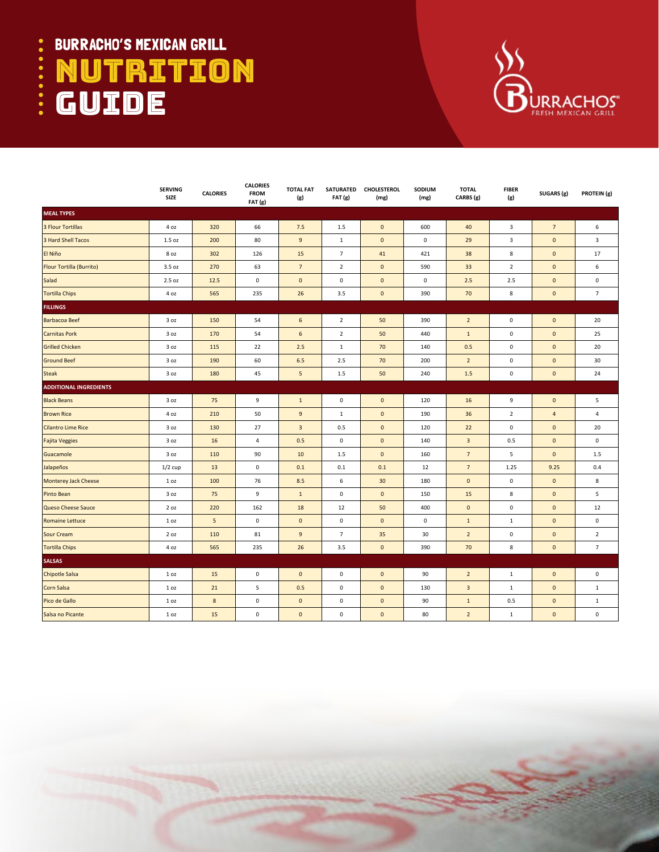## BURRACHO'S MEXICAN GRILL .... NUTRITION  $\bullet \bullet \bullet$ **GUIDE**



|                               | <b>SERVING</b><br>SIZE | <b>CALORIES</b> | <b>CALORIES</b><br><b>FROM</b><br>FAT(g) | <b>TOTAL FAT</b><br>(g) | FAT (g)             | SATURATED CHOLESTEROL<br>(mg) | SODIUM<br>(mg) | <b>TOTAL</b><br>CARBS (g) | <b>FIBER</b><br>(g) | SUGARS (g)      | PROTEIN (g)    |
|-------------------------------|------------------------|-----------------|------------------------------------------|-------------------------|---------------------|-------------------------------|----------------|---------------------------|---------------------|-----------------|----------------|
| <b>MEAL TYPES</b>             |                        |                 |                                          |                         |                     |                               |                |                           |                     |                 |                |
| 3 Flour Tortillas             | 4 oz                   | 320             | 66                                       | 7.5                     | 1.5                 | $\mathbf 0$                   | 600            | 40                        | 3                   | $7\overline{ }$ | 6              |
| 3 Hard Shell Tacos            | 1.5 oz                 | 200             | 80                                       | $\mathsf g$             | $\mathbf{1}$        | $\pmb{0}$                     | $\pmb{0}$      | 29                        | 3                   | $\pmb{0}$       | 3              |
| El Niño                       | 8 oz                   | 302             | 126                                      | 15                      | $\overline{7}$      | 41                            | 421            | 38                        | 8                   | $\pmb{0}$       | 17             |
| Flour Tortilla (Burrito)      | 3.5 oz                 | 270             | 63                                       | $7\overline{ }$         | $\overline{2}$      | $\mathbf 0$                   | 590            | 33                        | $\overline{2}$      | $\mathbf 0$     | 6              |
| Salad                         | 2.5 oz                 | 12.5            | 0                                        | $\mathbf 0$             | $\mathsf 0$         | $\mathbf 0$                   | $\mathsf 0$    | 2.5                       | 2.5                 | $\mathbf 0$     | $\mathsf 0$    |
| <b>Tortilla Chips</b>         | 4 oz                   | 565             | 235                                      | 26                      | 3.5                 | $\mathbf 0$                   | 390            | $70\,$                    | 8                   | $\pmb{0}$       | $\overline{7}$ |
| <b>FILLINGS</b>               |                        |                 |                                          |                         |                     |                               |                |                           |                     |                 |                |
| <b>Barbacoa Beef</b>          | 3 oz                   | 150             | 54                                       | 6                       | $\overline{2}$      | 50                            | 390            | $\overline{2}$            | $\mathsf 0$         | $\mathbf 0$     | 20             |
| <b>Carnitas Pork</b>          | 3 oz                   | 170             | 54                                       | $6\phantom{a}$          | $\overline{2}$      | 50                            | 440            | $\mathbf{1}$              | $\mathbf 0$         | $\mathbf 0$     | 25             |
| <b>Grilled Chicken</b>        | 3 oz                   | 115             | 22                                       | $2.5$                   | $\mathbf{1}$        | 70                            | 140            | 0.5                       | $\mathbf 0$         | $\pmb{0}$       | 20             |
| <b>Ground Beef</b>            | 3 oz                   | 190             | 60                                       | 6.5                     | 2.5                 | 70                            | 200            | $\overline{2}$            | $\mathbf 0$         | $\pmb{0}$       | 30             |
| <b>Steak</b>                  | 3 oz                   | 180             | 45                                       | $\sqrt{5}$              | 1.5                 | 50                            | 240            | 1.5                       | $\mathsf 0$         | $\mathbf 0$     | 24             |
| <b>ADDITIONAL INGREDIENTS</b> |                        |                 |                                          |                         |                     |                               |                |                           |                     |                 |                |
| <b>Black Beans</b>            | 3 oz                   | 75              | 9                                        | $\mathbf 1$             | $\mathbf 0$         | $\mathbf 0$                   | 120            | 16                        | 9                   | $\pmb{0}$       | 5              |
| <b>Brown Rice</b>             | 4 oz                   | 210             | 50                                       | 9                       | $\mathbf{1}$        | $\mathbf 0$                   | 190            | 36                        | $\overline{2}$      | $\overline{a}$  | 4              |
| <b>Cilantro Lime Rice</b>     | 3 oz                   | 130             | 27                                       | $\overline{3}$          | 0.5                 | $\mathbf 0$                   | 120            | 22                        | $\mathsf 0$         | $\mathbf 0$     | 20             |
| <b>Fajita Veggies</b>         | 3 oz                   | 16              | 4                                        | 0.5                     | $\mathsf 0$         | $\pmb{0}$                     | 140            | $\mathbf{3}$              | 0.5                 | $\pmb{0}$       | $\mathsf 0$    |
| Guacamole                     | 3 oz                   | 110             | 90                                       | 10                      | 1.5                 | $\mathbf 0$                   | 160            | $\overline{7}$            | 5                   | $\pmb{0}$       | 1.5            |
| Jalapeños                     | $1/2$ cup              | 13              | $\mathsf 0$                              | 0.1                     | 0.1                 | 0.1                           | 12             | $\overline{7}$            | 1.25                | 9.25            | 0.4            |
| <b>Monterey Jack Cheese</b>   | 1 <sub>oz</sub>        | 100             | 76                                       | 8.5                     | $\,$ 6              | 30 <sup>°</sup>               | 180            | $\mathbf 0$               | $\mathbf 0$         | $\pmb{0}$       | 8              |
| <b>Pinto Bean</b>             | 3 oz                   | 75              | 9                                        | $\mathbf 1$             | $\mathbf 0$         | $\pmb{0}$                     | 150            | 15                        | 8                   | $\pmb{0}$       | 5              |
| <b>Queso Cheese Sauce</b>     | 2 oz                   | 220             | 162                                      | 18                      | 12                  | 50                            | 400            | $\mathbf 0$               | $\mathbf 0$         | $\mathbf 0$     | 12             |
| <b>Romaine Lettuce</b>        | 1 <sub>oz</sub>        | 5               | 0                                        | $\mathbf 0$             | $\mathsf 0$         | $\mathbf 0$                   | 0              | $\mathbf{1}$              | $\mathbf{1}$        | $\mathbf 0$     | 0              |
| Sour Cream                    | 2 oz                   | 110             | 81                                       | $9\,$                   | $\overline{7}$      | 35                            | 30             | $\overline{2}$            | $\mathbf 0$         | $\pmb{0}$       | $\overline{2}$ |
| <b>Tortilla Chips</b>         | 4 oz                   | 565             | 235                                      | 26                      | 3.5                 | $\mathbf 0$                   | 390            | 70                        | 8                   | $\pmb{0}$       | $\overline{7}$ |
| <b>SALSAS</b>                 |                        |                 |                                          |                         |                     |                               |                |                           |                     |                 |                |
| <b>Chipotle Salsa</b>         | 1 <sub>0z</sub>        | 15              | $\mathsf 0$                              | $\mathbf 0$             | $\mathsf 0$         | $\mathbf 0$                   | 90             | $\overline{2}$            | $\mathbf{1}$        | $\mathbf 0$     | $\mathsf 0$    |
| Corn Salsa                    | 1 <sub>oz</sub>        | 21              | 5                                        | 0.5                     | $\mathsf 0$         | $\pmb{0}$                     | 130            | $\ensuremath{\mathsf{3}}$ | $\mathbf{1}$        | $\pmb{0}$       | $\mathbf{1}$   |
| Pico de Gallo                 | 1 <sub>oz</sub>        | $\bf 8$         | $\mathsf{O}\xspace$                      | $\mathbf 0$             | $\mathsf{O}\xspace$ | $\pmb{0}$                     | 90             | $\mathbf 1$               | 0.5                 | $\mathbf 0$     | $\mathbf{1}$   |
| Salsa no Picante              | 1 <sub>oz</sub>        | 15              | $\pmb{0}$                                | $\mathbf 0$             | 0                   | $\mathbf 0$                   | 80             | $\overline{2}$            | $\mathbf{1}$        | $\pmb{0}$       | $\mathsf 0$    |